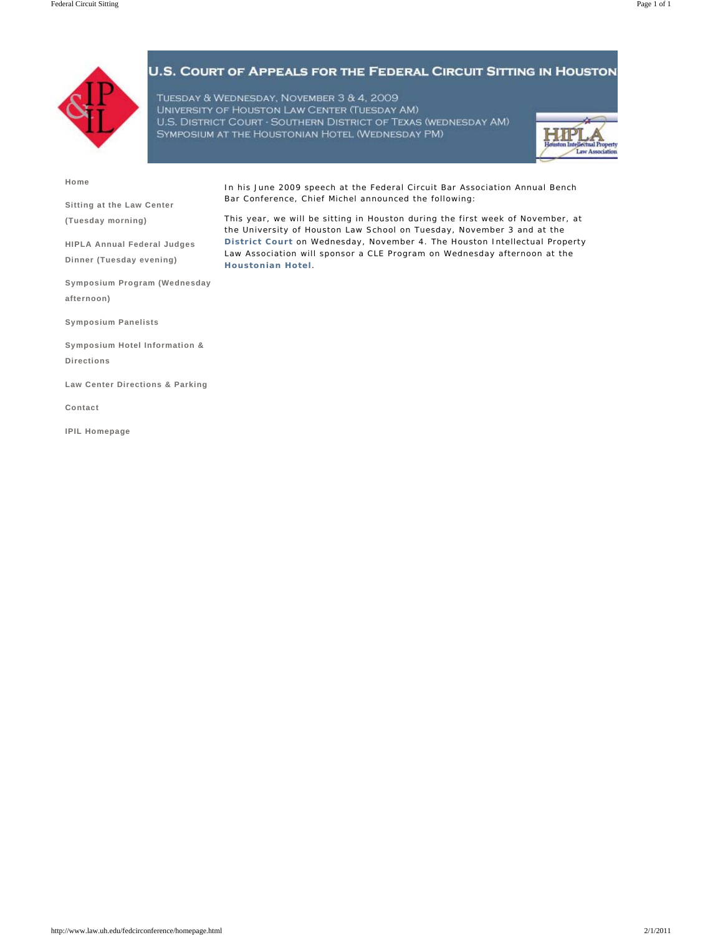

TUESDAY & WEDNESDAY, NOVEMBER 3 & 4, 2009 UNIVERSITY OF HOUSTON LAW CENTER (TUESDAY AM) U.S. DISTRICT COURT - SOUTHERN DISTRICT OF TEXAS (WEDNESDAY AM) SYMPOSIUM AT THE HOUSTONIAN HOTEL (WEDNESDAY PM)

Bar Conference, Chief Michel announced the following:



**Home**

**Sitting at the Law Center (Tuesday morning)**

**HIPLA Annual Federal Judges Dinner (Tuesday evening)** 

This year, we will be sitting in Houston during the first week of November, at the University of Houston Law School on Tuesday, November 3 and at the **District Court** on Wednesday, November 4. The Houston Intellectual Property Law Association will sponsor a CLE Program on Wednesday afternoon at the **Houstonian Hotel**.

In his June 2009 speech at the Federal Circuit Bar Association Annual Bench

**Symposium Program (Wednesday afternoon)**

**Symposium Panelists**

**Symposium Hotel Information & Directions**

**Law Center Directions & Parking**

**Contact**

**IPIL Homepage**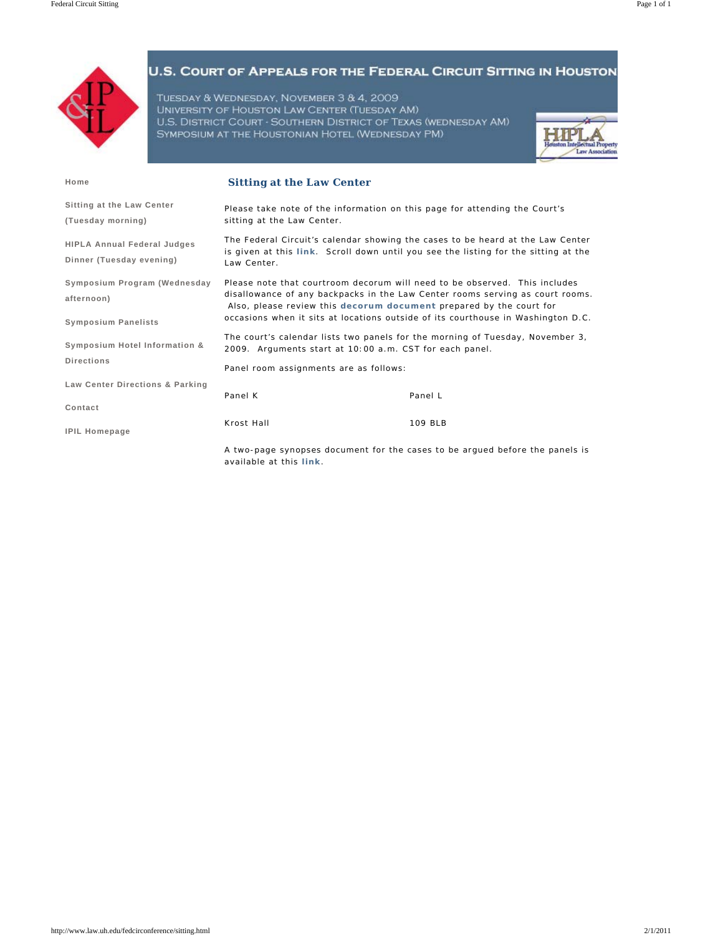

TUESDAY & WEDNESDAY, NOVEMBER 3 & 4, 2009 UNIVERSITY OF HOUSTON LAW CENTER (TUESDAY AM) U.S. DISTRICT COURT - SOUTHERN DISTRICT OF TEXAS (WEDNESDAY AM) SYMPOSIUM AT THE HOUSTONIAN HOTEL (WEDNESDAY PM)



| Home                                                           | <b>Sitting at the Law Center</b>                                                                                                                                                                                                                                                                                                                                                                        |         |
|----------------------------------------------------------------|---------------------------------------------------------------------------------------------------------------------------------------------------------------------------------------------------------------------------------------------------------------------------------------------------------------------------------------------------------------------------------------------------------|---------|
| Sitting at the Law Center<br>(Tuesday morning)                 | Please take note of the information on this page for attending the Court's<br>sitting at the Law Center.                                                                                                                                                                                                                                                                                                |         |
| <b>HIPLA Annual Federal Judges</b><br>Dinner (Tuesday evening) | The Federal Circuit's calendar showing the cases to be heard at the Law Center<br>is given at this link. Scroll down until you see the listing for the sitting at the<br>Law Center.                                                                                                                                                                                                                    |         |
| Symposium Program (Wednesday<br>afternoon)                     | Please note that courtroom decorum will need to be observed. This includes<br>disallowance of any backpacks in the Law Center rooms serving as court rooms.<br>Also, please review this decorum document prepared by the court for<br>occasions when it sits at locations outside of its courthouse in Washington D.C.<br>The court's calendar lists two panels for the morning of Tuesday, November 3, |         |
| <b>Symposium Panelists</b><br>Symposium Hotel Information &    |                                                                                                                                                                                                                                                                                                                                                                                                         |         |
| <b>Directions</b>                                              | 2009. Arguments start at 10:00 a.m. CST for each panel.<br>Panel room assignments are as follows:                                                                                                                                                                                                                                                                                                       |         |
| Law Center Directions & Parking                                | Panel K                                                                                                                                                                                                                                                                                                                                                                                                 | Panel L |
| Contact<br><b>IPIL Homepage</b>                                | Krost Hall                                                                                                                                                                                                                                                                                                                                                                                              | 109 BLB |
|                                                                | A two-page synopses document for the cases to be argued before the panels is<br>available at this link.                                                                                                                                                                                                                                                                                                 |         |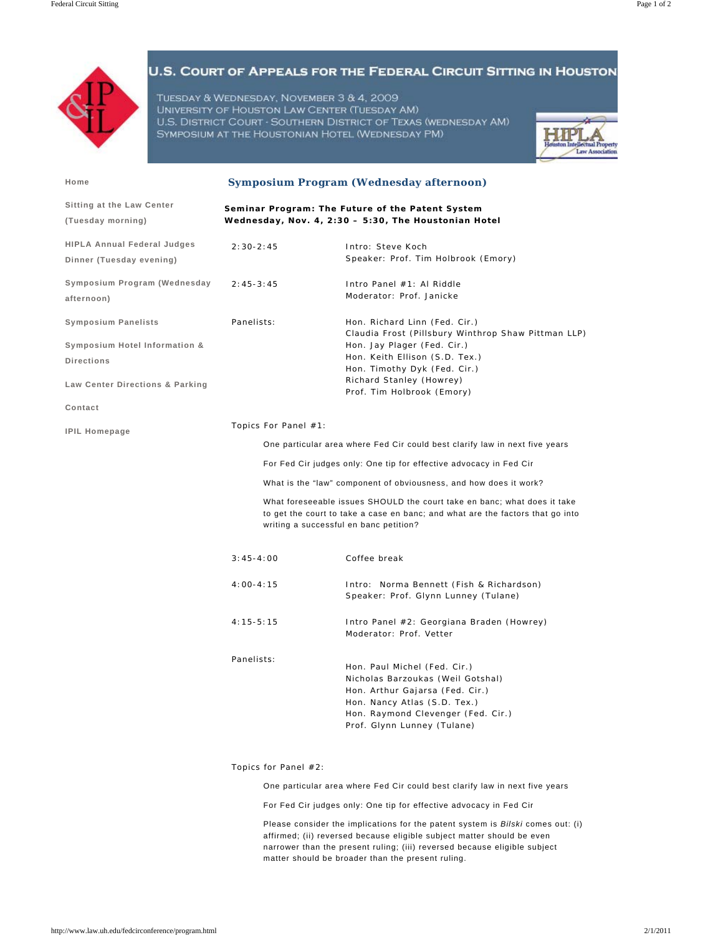

TUESDAY & WEDNESDAY, NOVEMBER 3 & 4, 2009 UNIVERSITY OF HOUSTON LAW CENTER (TUESDAY AM) U.S. DISTRICT COURT - SOUTHERN DISTRICT OF TEXAS (WEDNESDAY AM) SYMPOSIUM AT THE HOUSTONIAN HOTEL (WEDNESDAY PM)



| Home                                                                                                                           | <b>Symposium Program (Wednesday afternoon)</b>                                                           |                                                                                                                                                                                                                                                                           |  |
|--------------------------------------------------------------------------------------------------------------------------------|----------------------------------------------------------------------------------------------------------|---------------------------------------------------------------------------------------------------------------------------------------------------------------------------------------------------------------------------------------------------------------------------|--|
| Sitting at the Law Center<br>(Tuesday morning)                                                                                 | Seminar Program: The Future of the Patent System<br>Wednesday, Nov. 4, 2:30 - 5:30, The Houstonian Hotel |                                                                                                                                                                                                                                                                           |  |
| <b>HIPLA Annual Federal Judges</b><br>Dinner (Tuesday evening)                                                                 | $2:30-2:45$                                                                                              | Intro: Steve Koch<br>Speaker: Prof. Tim Holbrook (Emory)                                                                                                                                                                                                                  |  |
| Symposium Program (Wednesday<br>afternoon)                                                                                     | $2:45-3:45$                                                                                              | Intro Panel #1: Al Riddle<br>Moderator: Prof. Janicke                                                                                                                                                                                                                     |  |
| <b>Symposium Panelists</b><br>Symposium Hotel Information &<br><b>Directions</b><br>Law Center Directions & Parking<br>Contact | Panelists:                                                                                               | Hon. Richard Linn (Fed. Cir.)<br>Claudia Frost (Pillsbury Winthrop Shaw Pittman LLP)<br>Hon. Jay Plager (Fed. Cir.)<br>Hon. Keith Ellison (S.D. Tex.)<br>Hon. Timothy Dyk (Fed. Cir.)<br>Richard Stanley (Howrey)<br>Prof. Tim Holbrook (Emory)                           |  |
| <b>IPIL Homepage</b>                                                                                                           | Topics For Panel #1:                                                                                     | One particular area where Fed Cir could best clarify law in next five years                                                                                                                                                                                               |  |
|                                                                                                                                | For Fed Cir judges only: One tip for effective advocacy in Fed Cir                                       |                                                                                                                                                                                                                                                                           |  |
|                                                                                                                                |                                                                                                          | What is the "law" component of obviousness, and how does it work?<br>What foreseeable issues SHOULD the court take en banc; what does it take<br>to get the court to take a case en banc; and what are the factors that go into<br>writing a successful en banc petition? |  |
|                                                                                                                                |                                                                                                          |                                                                                                                                                                                                                                                                           |  |
|                                                                                                                                | $3:45 - 4:00$                                                                                            | Coffee break                                                                                                                                                                                                                                                              |  |
|                                                                                                                                | $4:00 - 4:15$                                                                                            | Intro: Norma Bennett (Fish & Richardson)<br>Speaker: Prof. Glynn Lunney (Tulane)                                                                                                                                                                                          |  |
|                                                                                                                                | $4:15 - 5:15$                                                                                            | Intro Panel #2: Georgiana Braden (Howrey)<br>Moderator: Prof. Vetter                                                                                                                                                                                                      |  |
|                                                                                                                                | Panelists:                                                                                               | Hon. Paul Michel (Fed. Cir.)<br>Nicholas Barzoukas (Weil Gotshal)<br>Hon. Arthur Gajarsa (Fed. Cir.)<br>Hon. Nancy Atlas (S.D. Tex.)<br>Hon. Raymond Clevenger (Fed. Cir.)<br>Prof. Glynn Lunney (Tulane)                                                                 |  |

Topics for Panel #2:

One particular area where Fed Cir could best clarify law in next five years

For Fed Cir judges only: One tip for effective advocacy in Fed Cir

Please consider the implications for the patent system is *Bilski* comes out: (i) affirmed; (ii) reversed because eligible subject matter should be even narrower than the present ruling; (iii) reversed because eligible subject matter should be broader than the present ruling.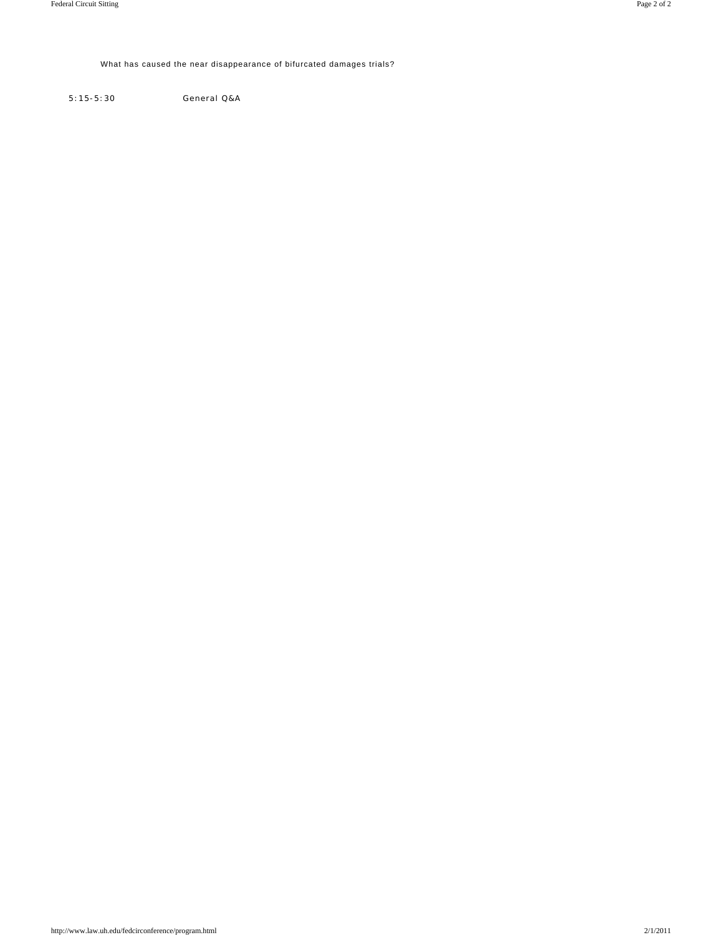### What has caused the near disappearance of bifurcated damages trials?

5:15-5:30 General Q&A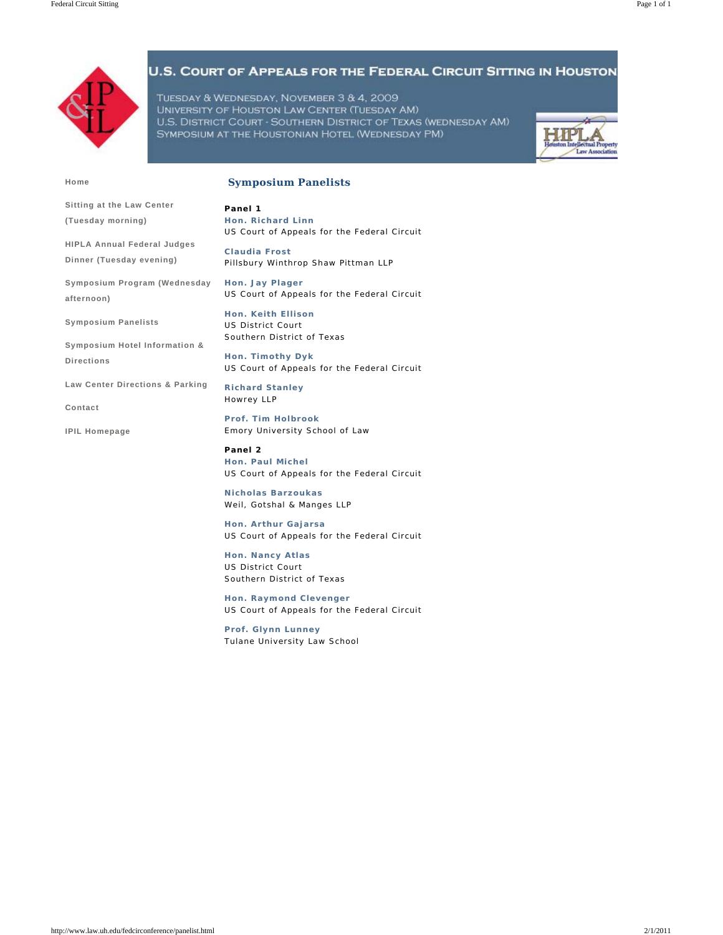

**Sitting at the Law Center (Tuesday morning)**

**HIPLA Annual Federal Judges Dinner (Tuesday evening)** 

**Symposium Hotel Information &** 

**Law Center Directions & Parking**

### U.S. COURT OF APPEALS FOR THE FEDERAL CIRCUIT SITTING IN HOUSTON

TUESDAY & WEDNESDAY, NOVEMBER 3 & 4, 2009 UNIVERSITY OF HOUSTON LAW CENTER (TUESDAY AM) U.S. DISTRICT COURT - SOUTHERN DISTRICT OF TEXAS (WEDNESDAY AM) SYMPOSIUM AT THE HOUSTONIAN HOTEL (WEDNESDAY PM)



**Home**

**afternoon)**

**Directions**

**Contact**

**IPIL Homepage**

**Symposium Panelists**

#### **Symposium Panelists**

**Panel 1 Hon. Richard Linn** *US Court of Appeals for the Federal Circuit*

**Claudia Frost**  *Pillsbury Winthrop Shaw Pittman LLP*

**Symposium Program (Wednesday Hon. Jay Plager** *US Court of Appeals for the Federal Circuit*

> **Hon. Keith Ellison** *US District Court Southern District of Texas*

**Hon. Timothy Dyk** *US Court of Appeals for the Federal Circuit*

**Richard Stanley** *Howrey LLP*

**Prof. Tim Holbrook** *Emory University School of Law*

**Panel 2 Hon. Paul Michel** *US Court of Appeals for the Federal Circuit*

**Nicholas Barzoukas** *Weil, Gotshal & Manges LLP*

**Hon. Arthur Gajarsa** *US Court of Appeals for the Federal Circuit*

**Hon. Nancy Atlas** *US District Court Southern District of Texas*

**Hon. Raymond Clevenger** *US Court of Appeals for the Federal Circuit*

**Prof. Glynn Lunney** *Tulane University Law School*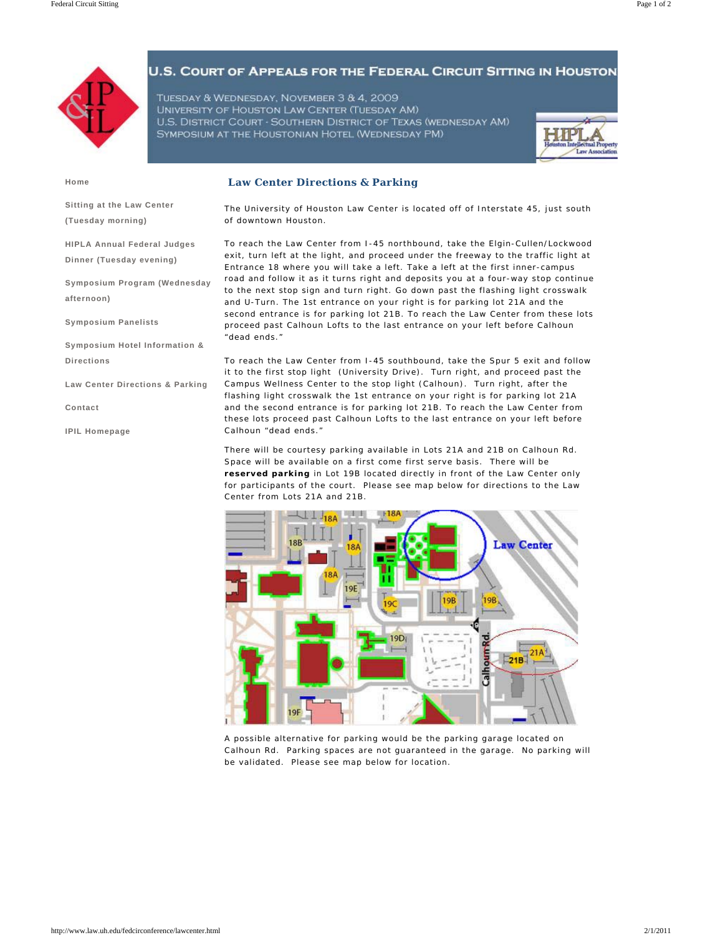

TUESDAY & WEDNESDAY, NOVEMBER 3 & 4, 2009 UNIVERSITY OF HOUSTON LAW CENTER (TUESDAY AM) U.S. DISTRICT COURT - SOUTHERN DISTRICT OF TEXAS (WEDNESDAY AM) SYMPOSIUM AT THE HOUSTONIAN HOTEL (WEDNESDAY PM)



**Home**

**Law Center Directions & Parking**

**Sitting at the Law Center (Tuesday morning)**

**HIPLA Annual Federal Judges Dinner (Tuesday evening)** 

**Symposium Program (Wednesday afternoon)**

**Symposium Panelists**

**Symposium Hotel Information & Directions**

**Law Center Directions & Parking**

**Contact**

**IPIL Homepage**

The University of Houston Law Center is located off of Interstate 45, just south of downtown Houston.

To reach the Law Center from I-45 northbound, take the Elgin-Cullen/Lockwood exit, turn left at the light, and proceed under the freeway to the traffic light at Entrance 18 where you will take a left. Take a left at the first inner-campus road and follow it as it turns right and deposits you at a four-way stop continue to the next stop sign and turn right. Go down past the flashing light crosswalk and U-Turn. The 1st entrance on your right is for parking lot 21A and the second entrance is for parking lot 21B. To reach the Law Center from these lots proceed past Calhoun Lofts to the last entrance on your left before Calhoun "dead ends."

To reach the Law Center from I-45 southbound, take the Spur 5 exit and follow it to the first stop light (University Drive). Turn right, and proceed past the Campus Wellness Center to the stop light (Calhoun). Turn right, after the flashing light crosswalk the 1st entrance on your right is for parking lot 21A and the second entrance is for parking lot 21B. To reach the Law Center from these lots proceed past Calhoun Lofts to the last entrance on your left before Calhoun "dead ends."

There will be courtesy parking available in Lots 21A and 21B on Calhoun Rd. Space will be available on a first come first serve basis. There will be **reserved parking** in Lot 19B located directly in front of the Law Center only for participants of the court. Please see map below for directions to the Law Center from Lots 21A and 21B.



A possible alternative for parking would be the parking garage located on Calhoun Rd. Parking spaces are not guaranteed in the garage. No parking will be validated. Please see map below for location.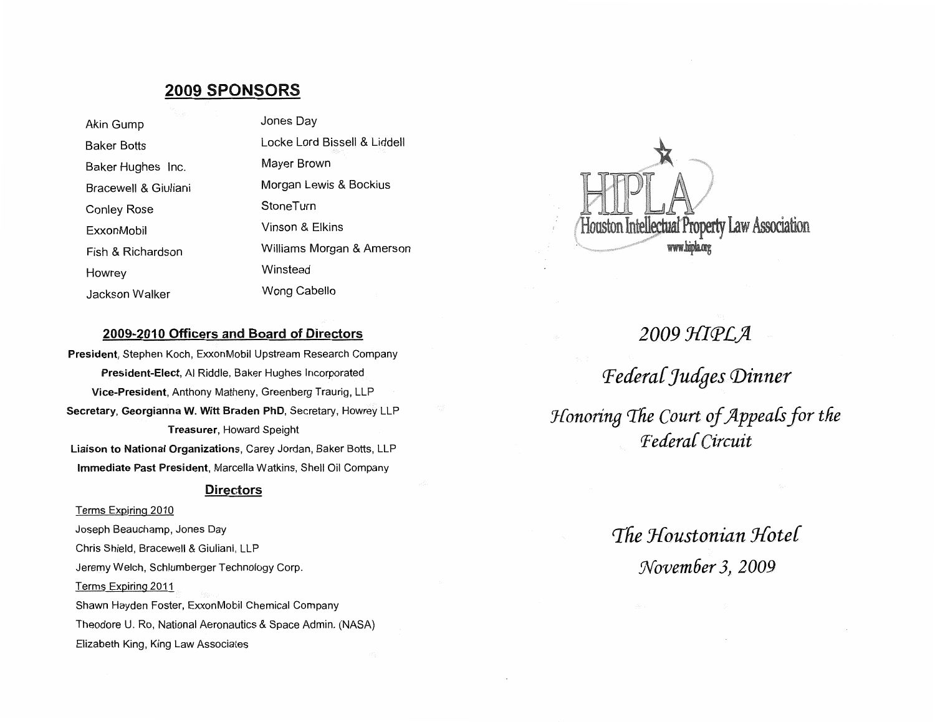## **2009 SPONSORS**

Jones Day Akin Gump Locke Lord Bissell & Liddell **Baker Botts** Mayer Brown Baker Hughes Inc. Morgan Lewis & Bockius Bracewell & Giuliani StoneTurn **Conley Rose** Vinson & Elkins ExxonMobil Williams Morgan & Amerson Fish & Richardson Winstead Howrey Wong Cabello Jackson Walker



#### 2009-2010 Officers and Board of Directors

President, Stephen Koch, ExxonMobil Upstream Research Company President-Elect, Al Riddle, Baker Hughes Incorporated Vice-President, Anthony Matheny, Greenberg Traurig, LLP Secretary, Georgianna W. Witt Braden PhD, Secretary, Howrey LLP **Treasurer, Howard Speight** Liaison to National Organizations, Carey Jordan, Baker Botts, LLP Immediate Past President, Marcella Watkins, Shell Oil Company

#### **Directors**

Terms Expiring 2010 Joseph Beauchamp, Jones Day Chris Shield, Bracewell & Giuliani, LLP Jeremy Welch, Schlumberger Technology Corp. Terms Expiring 2011 Shawn Hayden Foster, ExxonMobil Chemical Company Theodore U. Ro, National Aeronautics & Space Admin. (NASA) Elizabeth King, King Law Associates

2009 HIPLA Federal Judges Dinner Honoring The Court of Appeals for the Federal Circuit

> The Houstonian Hotel November 3, 2009